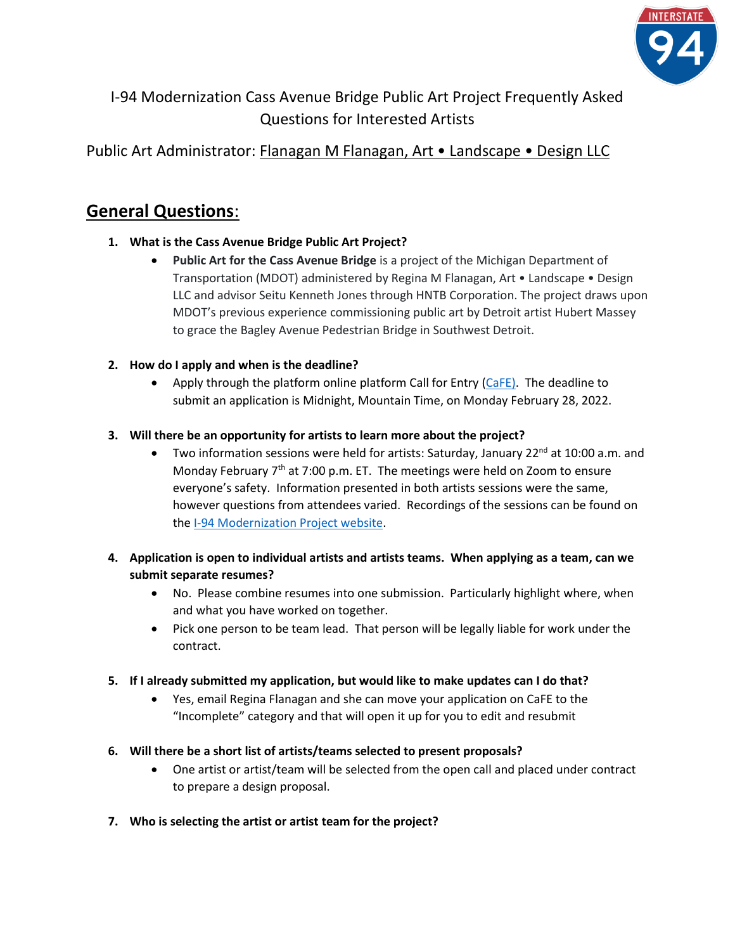

I-94 Modernization Cass Avenue Bridge Public Art Project Frequently Asked Questions for Interested Artists

## Public Art Administrator: Flanagan M Flanagan, Art • Landscape • Design LLC

## **General Questions**:

#### **1. What is the Cass Avenue Bridge Public Art Project?**

• **Public Art for the Cass Avenue Bridge** is a project of the Michigan Department of Transportation (MDOT) administered by Regina M Flanagan, Art • Landscape • Design LLC and advisor Seitu Kenneth Jones through HNTB Corporation. The project draws upon MDOT's previous experience commissioning public art by Detroit artist Hubert Massey to grace the Bagley Avenue Pedestrian Bridge in Southwest Detroit.

### **2. How do I apply and when is the deadline?**

• Apply through the platform online platform Call for Entry  $(CaFE)$ . The deadline to submit an application is Midnight, Mountain Time, on Monday February 28, 2022.

#### **3. Will there be an opportunity for artists to learn more about the project?**

Two information sessions were held for artists: Saturday, January 22<sup>nd</sup> at 10:00 a.m. and Monday February  $7<sup>th</sup>$  at 7:00 p.m. ET. The meetings were held on Zoom to ensure everyone's safety. Information presented in both artists sessions were the same, however questions from attendees varied. Recordings of the sessions can be found on th[e I-94 Modernization Project website.](https://i94detroit.org/news-information/call-for-artists/)

#### **4. Application is open to individual artists and artists teams. When applying as a team, can we submit separate resumes?**

- No. Please combine resumes into one submission. Particularly highlight where, when and what you have worked on together.
- Pick one person to be team lead. That person will be legally liable for work under the contract.

#### **5. If I already submitted my application, but would like to make updates can I do that?**

• Yes, email Regina Flanagan and she can move your application on CaFE to the "Incomplete" category and that will open it up for you to edit and resubmit

#### **6. Will there be a short list of artists/teams selected to present proposals?**

- One artist or artist/team will be selected from the open call and placed under contract to prepare a design proposal.
- **7. Who is selecting the artist or artist team for the project?**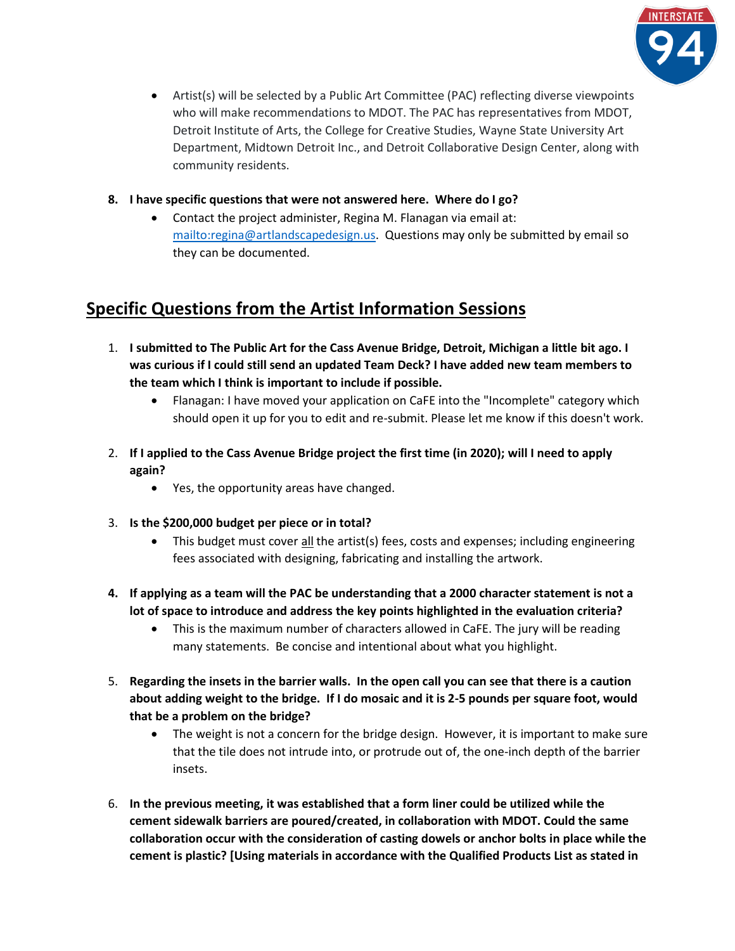

- Artist(s) will be selected by a Public Art Committee (PAC) reflecting diverse viewpoints who will make recommendations to MDOT. The PAC has representatives from MDOT, Detroit Institute of Arts, the College for Creative Studies, Wayne State University Art Department, Midtown Detroit Inc., and Detroit Collaborative Design Center, along with community residents.
- **8. I have specific questions that were not answered here. Where do I go?**
	- Contact the project administer, Regina M. Flanagan via email at: [mailto:regina@artlandscapedesign.us.](mailto:regina@artlandscapedesign.us) Questions may only be submitted by email so they can be documented.

# **Specific Questions from the Artist Information Sessions**

- 1. **I submitted to The Public Art for the Cass Avenue Bridge, Detroit, Michigan a little bit ago. I was curious if I could still send an updated Team Deck? I have added new team members to the team which I think is important to include if possible.**
	- Flanagan: I have moved your application on CaFE into the "Incomplete" category which should open it up for you to edit and re-submit. Please let me know if this doesn't work.
- 2. **If I applied to the Cass Avenue Bridge project the first time (in 2020); will I need to apply again?**
	- Yes, the opportunity areas have changed.
- 3. **Is the \$200,000 budget per piece or in total?**
	- This budget must cover all the artist(s) fees, costs and expenses; including engineering fees associated with designing, fabricating and installing the artwork.
- **4. If applying as a team will the PAC be understanding that a 2000 character statement is not a lot of space to introduce and address the key points highlighted in the evaluation criteria?**
	- This is the maximum number of characters allowed in CaFE. The jury will be reading many statements. Be concise and intentional about what you highlight.
- 5. **Regarding the insets in the barrier walls. In the open call you can see that there is a caution about adding weight to the bridge. If I do mosaic and it is 2-5 pounds per square foot, would that be a problem on the bridge?**
	- The weight is not a concern for the bridge design. However, it is important to make sure that the tile does not intrude into, or protrude out of, the one-inch depth of the barrier insets.
- 6. **In the previous meeting, it was established that a form liner could be utilized while the cement sidewalk barriers are poured/created, in collaboration with MDOT. Could the same collaboration occur with the consideration of casting dowels or anchor bolts in place while the cement is plastic? [Using materials in accordance with the Qualified Products List as stated in**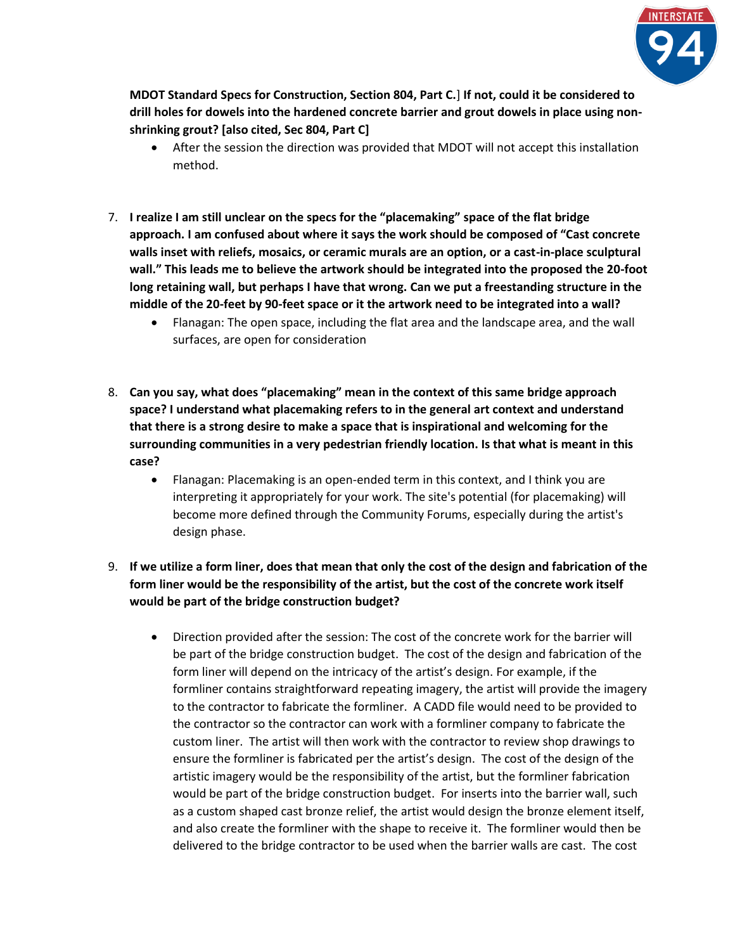

**MDOT Standard Specs for Construction, Section 804, Part C.**] **If not, could it be considered to drill holes for dowels into the hardened concrete barrier and grout dowels in place using nonshrinking grout? [also cited, Sec 804, Part C]**

- After the session the direction was provided that MDOT will not accept this installation method.
- 7. **I realize I am still unclear on the specs for the "placemaking" space of the flat bridge approach. I am confused about where it says the work should be composed of "Cast concrete walls inset with reliefs, mosaics, or ceramic murals are an option, or a cast-in-place sculptural wall." This leads me to believe the artwork should be integrated into the proposed the 20-foot long retaining wall, but perhaps I have that wrong. Can we put a freestanding structure in the middle of the 20-feet by 90-feet space or it the artwork need to be integrated into a wall?**
	- Flanagan: The open space, including the flat area and the landscape area, and the wall surfaces, are open for consideration
- 8. **Can you say, what does "placemaking" mean in the context of this same bridge approach space? I understand what placemaking refers to in the general art context and understand that there is a strong desire to make a space that is inspirational and welcoming for the surrounding communities in a very pedestrian friendly location. Is that what is meant in this case?**
	- Flanagan: Placemaking is an open-ended term in this context, and I think you are interpreting it appropriately for your work. The site's potential (for placemaking) will become more defined through the Community Forums, especially during the artist's design phase.
- 9. **If we utilize a form liner, does that mean that only the cost of the design and fabrication of the form liner would be the responsibility of the artist, but the cost of the concrete work itself would be part of the bridge construction budget?**
	- Direction provided after the session: The cost of the concrete work for the barrier will be part of the bridge construction budget. The cost of the design and fabrication of the form liner will depend on the intricacy of the artist's design. For example, if the formliner contains straightforward repeating imagery, the artist will provide the imagery to the contractor to fabricate the formliner. A CADD file would need to be provided to the contractor so the contractor can work with a formliner company to fabricate the custom liner. The artist will then work with the contractor to review shop drawings to ensure the formliner is fabricated per the artist's design. The cost of the design of the artistic imagery would be the responsibility of the artist, but the formliner fabrication would be part of the bridge construction budget. For inserts into the barrier wall, such as a custom shaped cast bronze relief, the artist would design the bronze element itself, and also create the formliner with the shape to receive it. The formliner would then be delivered to the bridge contractor to be used when the barrier walls are cast. The cost